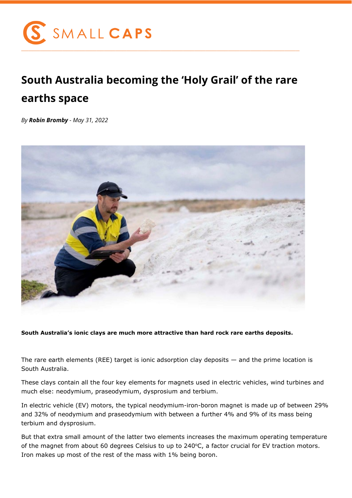

## **South Australia becoming the 'Holy Grail' of the rare earths space**

*By Robin Bromby - May 31, 2022*



**South Australia's ionic clays are much more attractive than hard rock rare earths deposits.**

The rare earth elements (REE) target is ionic adsorption clay deposits  $-$  and the prime location is South Australia.

These clays contain all the four key elements for magnets used in electric vehicles, wind turbines and much else: neodymium, praseodymium, dysprosium and terbium.

In electric vehicle (EV) motors, the typical neodymium-iron-boron magnet is made up of between 29% and 32% of neodymium and praseodymium with between a further 4% and 9% of its mass being terbium and dysprosium.

But that extra small amount of the latter two elements increases the maximum operating temperature of the magnet from about 60 degrees Celsius to up to 240°C, a factor crucial for EV traction motors. Iron makes up most of the rest of the mass with 1% being boron.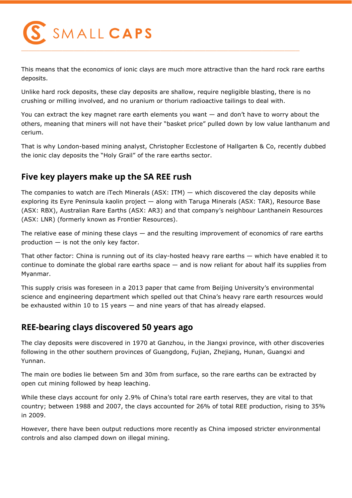

This means that the economics of ionic clays are much more attractive than the hard rock rare earths deposits.

Unlike hard rock deposits, these clay deposits are shallow, require negligible blasting, there is no crushing or milling involved, and no uranium or thorium radioactive tailings to deal with.

You can extract the key magnet rare earth elements you want — and don't have to worry about the others, meaning that miners will not have their "basket price" pulled down by low value lanthanum and cerium.

That is why London-based mining analyst, Christopher Ecclestone of Hallgarten & Co, recently dubbed the ionic clay deposits the "Holy Grail" of the rare earths sector.

## **Five key players make up the SA REE rush**

The companies to watch are iTech Minerals (ASX: ITM)  $-$  which discovered the clay deposits while exploring its Eyre Peninsula kaolin project — along with Taruga Minerals (ASX: TAR), Resource Base (ASX: RBX), Australian Rare Earths (ASX: AR3) and that company's neighbour Lanthanein Resources (ASX: LNR) (formerly known as Frontier Resources).

The relative ease of mining these clays  $-$  and the resulting improvement of economics of rare earths production — is not the only key factor.

That other factor: China is running out of its clay-hosted heavy rare earths — which have enabled it to continue to dominate the global rare earths space — and is now reliant for about half its supplies from Myanmar.

This supply crisis was foreseen in a 2013 paper that came from Beijing University's environmental science and engineering department which spelled out that China's heavy rare earth resources would be exhausted within 10 to 15 years — and nine years of that has already elapsed.

## **REE-bearing clays discovered 50 years ago**

The clay deposits were discovered in 1970 at Ganzhou, in the Jiangxi province, with other discoveries following in the other southern provinces of Guangdong, Fujian, Zhejiang, Hunan, Guangxi and Yunnan.

The main ore bodies lie between 5m and 30m from surface, so the rare earths can be extracted by open cut mining followed by heap leaching.

While these clays account for only 2.9% of China's total rare earth reserves, they are vital to that country; between 1988 and 2007, the clays accounted for 26% of total REE production, rising to 35% in 2009.

However, there have been output reductions more recently as China imposed stricter environmental controls and also clamped down on illegal mining.